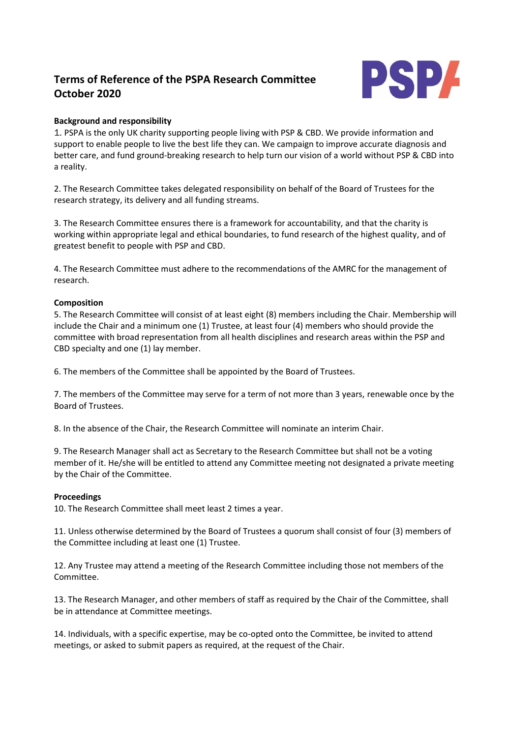# **Terms of Reference of the PSPA Research Committee October 2020**



## **Background and responsibility**

1. PSPA is the only UK charity supporting people living with PSP & CBD. We provide information and support to enable people to live the best life they can. We campaign to improve accurate diagnosis and better care, and fund ground-breaking research to help turn our vision of a world without PSP & CBD into a reality.

2. The Research Committee takes delegated responsibility on behalf of the Board of Trustees for the research strategy, its delivery and all funding streams.

3. The Research Committee ensures there is a framework for accountability, and that the charity is working within appropriate legal and ethical boundaries, to fund research of the highest quality, and of greatest benefit to people with PSP and CBD.

4. The Research Committee must adhere to the recommendations of the AMRC for the management of research.

#### **Composition**

5. The Research Committee will consist of at least eight (8) members including the Chair. Membership will include the Chair and a minimum one (1) Trustee, at least four (4) members who should provide the committee with broad representation from all health disciplines and research areas within the PSP and CBD specialty and one (1) lay member.

6. The members of the Committee shall be appointed by the Board of Trustees.

7. The members of the Committee may serve for a term of not more than 3 years, renewable once by the Board of Trustees.

8. In the absence of the Chair, the Research Committee will nominate an interim Chair.

9. The Research Manager shall act as Secretary to the Research Committee but shall not be a voting member of it. He/she will be entitled to attend any Committee meeting not designated a private meeting by the Chair of the Committee.

#### **Proceedings**

10. The Research Committee shall meet least 2 times a year.

11. Unless otherwise determined by the Board of Trustees a quorum shall consist of four (3) members of the Committee including at least one (1) Trustee.

12. Any Trustee may attend a meeting of the Research Committee including those not members of the Committee.

13. The Research Manager, and other members of staff as required by the Chair of the Committee, shall be in attendance at Committee meetings.

14. Individuals, with a specific expertise, may be co-opted onto the Committee, be invited to attend meetings, or asked to submit papers as required, at the request of the Chair.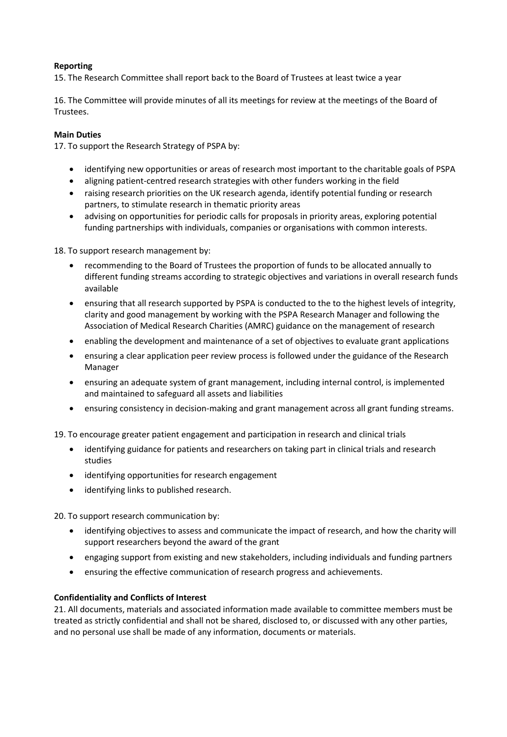## **Reporting**

15. The Research Committee shall report back to the Board of Trustees at least twice a year

16. The Committee will provide minutes of all its meetings for review at the meetings of the Board of Trustees.

#### **Main Duties**

17. To support the Research Strategy of PSPA by:

- identifying new opportunities or areas of research most important to the charitable goals of PSPA
- aligning patient-centred research strategies with other funders working in the field
- raising research priorities on the UK research agenda, identify potential funding or research partners, to stimulate research in thematic priority areas
- advising on opportunities for periodic calls for proposals in priority areas, exploring potential funding partnerships with individuals, companies or organisations with common interests.

18. To support research management by:

- recommending to the Board of Trustees the proportion of funds to be allocated annually to different funding streams according to strategic objectives and variations in overall research funds available
- ensuring that all research supported by PSPA is conducted to the to the highest levels of integrity, clarity and good management by working with the PSPA Research Manager and following the Association of Medical Research Charities (AMRC) guidance on the management of research
- enabling the development and maintenance of a set of objectives to evaluate grant applications
- ensuring a clear application peer review process is followed under the guidance of the Research Manager
- ensuring an adequate system of grant management, including internal control, is implemented and maintained to safeguard all assets and liabilities
- ensuring consistency in decision-making and grant management across all grant funding streams.
- 19. To encourage greater patient engagement and participation in research and clinical trials
	- identifying guidance for patients and researchers on taking part in clinical trials and research studies
	- identifying opportunities for research engagement
	- identifying links to published research.

20. To support research communication by:

- identifying objectives to assess and communicate the impact of research, and how the charity will support researchers beyond the award of the grant
- engaging support from existing and new stakeholders, including individuals and funding partners
- ensuring the effective communication of research progress and achievements.

#### **Confidentiality and Conflicts of Interest**

21. All documents, materials and associated information made available to committee members must be treated as strictly confidential and shall not be shared, disclosed to, or discussed with any other parties, and no personal use shall be made of any information, documents or materials.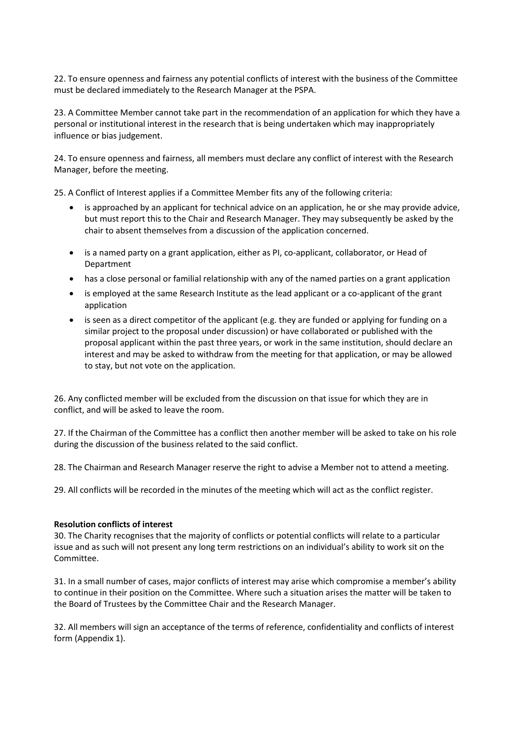22. To ensure openness and fairness any potential conflicts of interest with the business of the Committee must be declared immediately to the Research Manager at the PSPA.

23. A Committee Member cannot take part in the recommendation of an application for which they have a personal or institutional interest in the research that is being undertaken which may inappropriately influence or bias judgement.

24. To ensure openness and fairness, all members must declare any conflict of interest with the Research Manager, before the meeting.

25. A Conflict of Interest applies if a Committee Member fits any of the following criteria:

- is approached by an applicant for technical advice on an application, he or she may provide advice, but must report this to the Chair and Research Manager. They may subsequently be asked by the chair to absent themselves from a discussion of the application concerned.
- is a named party on a grant application, either as PI, co-applicant, collaborator, or Head of Department
- has a close personal or familial relationship with any of the named parties on a grant application
- is employed at the same Research Institute as the lead applicant or a co-applicant of the grant application
- is seen as a direct competitor of the applicant (e.g. they are funded or applying for funding on a similar project to the proposal under discussion) or have collaborated or published with the proposal applicant within the past three years, or work in the same institution, should declare an interest and may be asked to withdraw from the meeting for that application, or may be allowed to stay, but not vote on the application.

26. Any conflicted member will be excluded from the discussion on that issue for which they are in conflict, and will be asked to leave the room.

27. If the Chairman of the Committee has a conflict then another member will be asked to take on his role during the discussion of the business related to the said conflict.

28. The Chairman and Research Manager reserve the right to advise a Member not to attend a meeting.

29. All conflicts will be recorded in the minutes of the meeting which will act as the conflict register.

#### **Resolution conflicts of interest**

30. The Charity recognises that the majority of conflicts or potential conflicts will relate to a particular issue and as such will not present any long term restrictions on an individual's ability to work sit on the Committee.

31. In a small number of cases, major conflicts of interest may arise which compromise a member's ability to continue in their position on the Committee. Where such a situation arises the matter will be taken to the Board of Trustees by the Committee Chair and the Research Manager.

32. All members will sign an acceptance of the terms of reference, confidentiality and conflicts of interest form (Appendix 1).